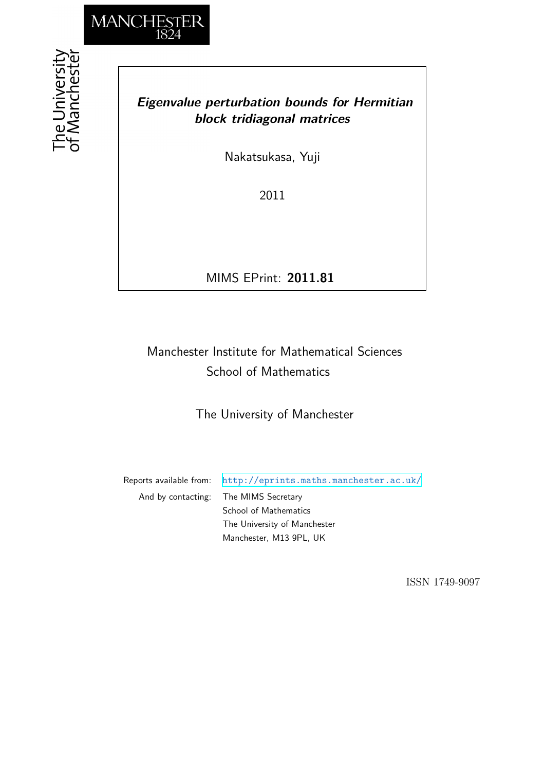

the University<br>f Mancheste

### *Eigenvalue perturbation bounds for Hermitian block tridiagonal matrices*

Nakatsukasa, Yuji

2011

MIMS EPrint: **2011.81**

# Manchester Institute for Mathematical Sciences School of Mathematics

The University of Manchester

Reports available from: <http://eprints.maths.manchester.ac.uk/> And by contacting: The MIMS Secretary School of Mathematics The University of Manchester

Manchester, M13 9PL, UK

ISSN 1749-9097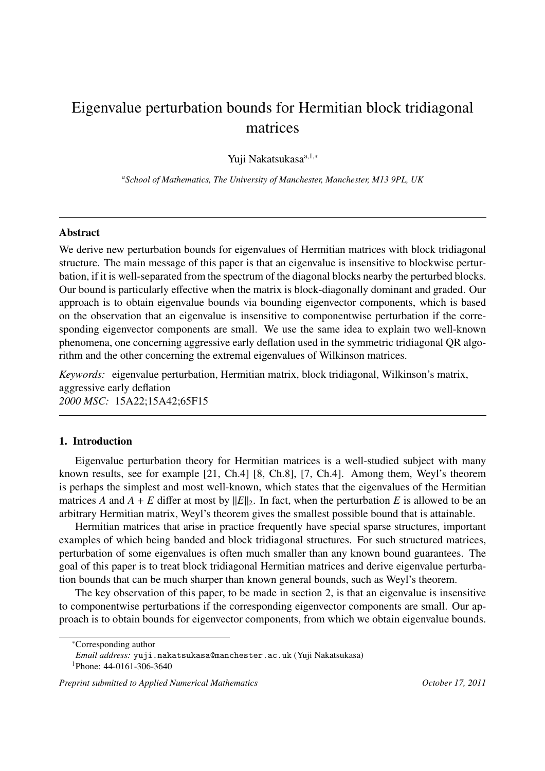# Eigenvalue perturbation bounds for Hermitian block tridiagonal matrices

Yuji Nakatsukasa<sup>a,1,∗</sup>

*<sup>a</sup>School of Mathematics, The University of Manchester, Manchester, M13 9PL, UK*

#### Abstract

We derive new perturbation bounds for eigenvalues of Hermitian matrices with block tridiagonal structure. The main message of this paper is that an eigenvalue is insensitive to blockwise perturbation, if it is well-separated from the spectrum of the diagonal blocks nearby the perturbed blocks. Our bound is particularly effective when the matrix is block-diagonally dominant and graded. Our approach is to obtain eigenvalue bounds via bounding eigenvector components, which is based on the observation that an eigenvalue is insensitive to componentwise perturbation if the corresponding eigenvector components are small. We use the same idea to explain two well-known phenomena, one concerning aggressive early deflation used in the symmetric tridiagonal QR algorithm and the other concerning the extremal eigenvalues of Wilkinson matrices.

*Keywords:* eigenvalue perturbation, Hermitian matrix, block tridiagonal, Wilkinson's matrix, aggressive early deflation *2000 MSC:* 15A22;15A42;65F15

### 1. Introduction

Eigenvalue perturbation theory for Hermitian matrices is a well-studied subject with many known results, see for example [21, Ch.4] [8, Ch.8], [7, Ch.4]. Among them, Weyl's theorem is perhaps the simplest and most well-known, which states that the eigenvalues of the Hermitian matrices *A* and  $A + E$  differ at most by  $||E||_2$ . In fact, when the perturbation *E* is allowed to be an arbitrary Hermitian matrix, Weyl's theorem gives the smallest possible bound that is attainable.

Hermitian matrices that arise in practice frequently have special sparse structures, important examples of which being banded and block tridiagonal structures. For such structured matrices, perturbation of some eigenvalues is often much smaller than any known bound guarantees. The goal of this paper is to treat block tridiagonal Hermitian matrices and derive eigenvalue perturbation bounds that can be much sharper than known general bounds, such as Weyl's theorem.

The key observation of this paper, to be made in section 2, is that an eigenvalue is insensitive to componentwise perturbations if the corresponding eigenvector components are small. Our approach is to obtain bounds for eigenvector components, from which we obtain eigenvalue bounds.

<sup>∗</sup>Corresponding author

*Email address:* yuji.nakatsukasa@manchester.ac.uk (Yuji Nakatsukasa)

<sup>1</sup>Phone: 44-0161-306-3640

*Preprint submitted to Applied Numerical Mathematics October 17, 2011*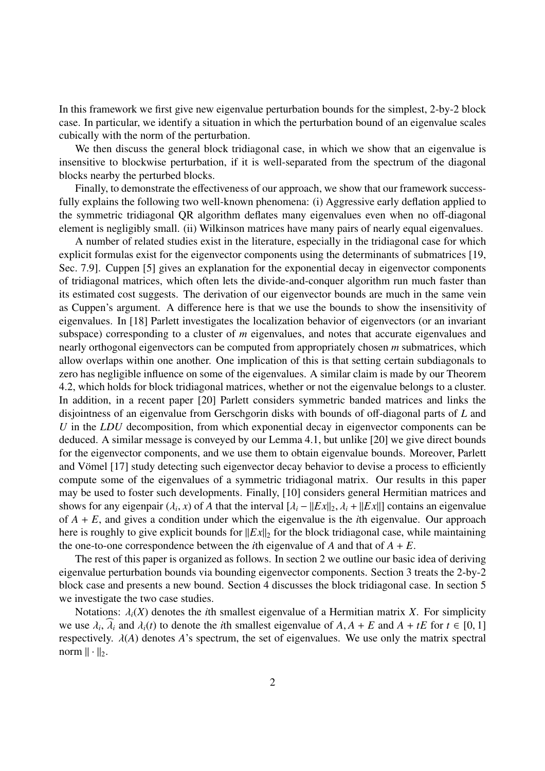In this framework we first give new eigenvalue perturbation bounds for the simplest, 2-by-2 block case. In particular, we identify a situation in which the perturbation bound of an eigenvalue scales cubically with the norm of the perturbation.

We then discuss the general block tridiagonal case, in which we show that an eigenvalue is insensitive to blockwise perturbation, if it is well-separated from the spectrum of the diagonal blocks nearby the perturbed blocks.

Finally, to demonstrate the effectiveness of our approach, we show that our framework successfully explains the following two well-known phenomena: (i) Aggressive early deflation applied to the symmetric tridiagonal QR algorithm deflates many eigenvalues even when no off-diagonal element is negligibly small. (ii) Wilkinson matrices have many pairs of nearly equal eigenvalues.

A number of related studies exist in the literature, especially in the tridiagonal case for which explicit formulas exist for the eigenvector components using the determinants of submatrices [19, Sec. 7.9]. Cuppen [5] gives an explanation for the exponential decay in eigenvector components of tridiagonal matrices, which often lets the divide-and-conquer algorithm run much faster than its estimated cost suggests. The derivation of our eigenvector bounds are much in the same vein as Cuppen's argument. A difference here is that we use the bounds to show the insensitivity of eigenvalues. In [18] Parlett investigates the localization behavior of eigenvectors (or an invariant subspace) corresponding to a cluster of *m* eigenvalues, and notes that accurate eigenvalues and nearly orthogonal eigenvectors can be computed from appropriately chosen *m* submatrices, which allow overlaps within one another. One implication of this is that setting certain subdiagonals to zero has negligible influence on some of the eigenvalues. A similar claim is made by our Theorem 4.2, which holds for block tridiagonal matrices, whether or not the eigenvalue belongs to a cluster. In addition, in a recent paper [20] Parlett considers symmetric banded matrices and links the disjointness of an eigenvalue from Gerschgorin disks with bounds of off-diagonal parts of *L* and *U* in the *LDU* decomposition, from which exponential decay in eigenvector components can be deduced. A similar message is conveyed by our Lemma 4.1, but unlike [20] we give direct bounds for the eigenvector components, and we use them to obtain eigenvalue bounds. Moreover, Parlett and Vömel [17] study detecting such eigenvector decay behavior to devise a process to efficiently compute some of the eigenvalues of a symmetric tridiagonal matrix. Our results in this paper may be used to foster such developments. Finally, [10] considers general Hermitian matrices and shows for any eigenpair  $(\lambda_i, x)$  of *A* that the interval  $[\lambda_i - ||Ex||_2, \lambda_i + ||Ex||]$  contains an eigenvalue of *A* + *E*, and gives a condition under which the eigenvalue is the *i*th eigenvalue. Our approach here is roughly to give explicit bounds for  $||Ex||_2$  for the block tridiagonal case, while maintaining the one-to-one correspondence between the *i*th eigenvalue of  $A$  and that of  $A + E$ .

The rest of this paper is organized as follows. In section 2 we outline our basic idea of deriving eigenvalue perturbation bounds via bounding eigenvector components. Section 3 treats the 2-by-2 block case and presents a new bound. Section 4 discusses the block tridiagonal case. In section 5 we investigate the two case studies.

Notations:  $\lambda_i(X)$  denotes the *i*th smallest eigenvalue of a Hermitian matrix *X*. For simplicity we use  $\lambda_i$ ,  $\widehat{\lambda}_i$  and  $\lambda_i(t)$  to denote the *i*th smallest eigenvalue of  $A, A + E$  and  $A + tE$  for  $t \in [0, 1]$ respectively.  $\lambda(A)$  denotes  $A$ 's spectrum, the set of eigenvalues. We use only the matrix spectral norm  $\|\cdot\|_2$ .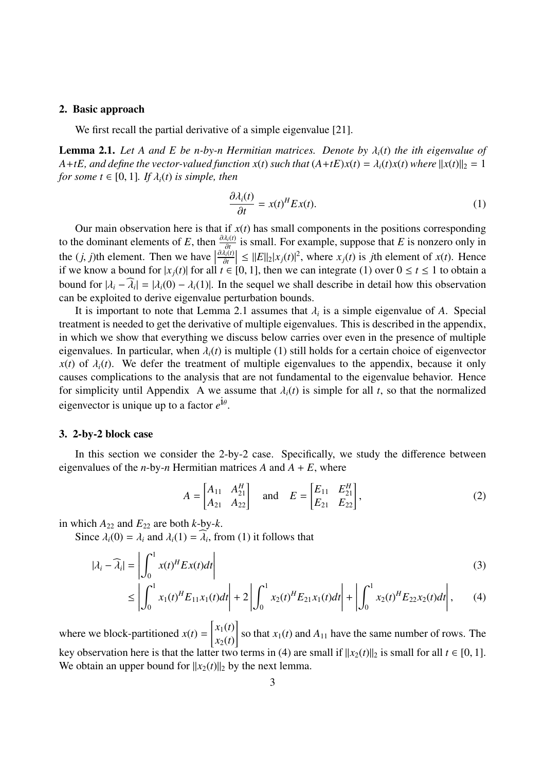#### 2. Basic approach

We first recall the partial derivative of a simple eigenvalue [21].

**Lemma 2.1.** Let A and E be *n*-by-*n* Hermitian matrices. Denote by  $\lambda_i(t)$  the ith eigenvalue of *A*+*tE*, and define the vector-valued function  $x(t)$  such that  $(A+tE)x(t) = \lambda_i(t)x(t)$  where  $||x(t)||_2 = 1$ *for some*  $t \in [0, 1]$ *. If*  $\lambda_i(t)$  *is simple, then* 

$$
\frac{\partial \lambda_i(t)}{\partial t} = x(t)^H E x(t). \tag{1}
$$

Our main observation here is that if  $x(t)$  has small components in the positions corresponding to the dominant elements of *E*, then  $\frac{\partial \lambda_i(t)}{\partial t}$  is small. For example, suppose that *E* is nonzero only in the (*j*, *j*)th element. Then we have  $\frac{\partial t}{\partial t}$ <br> $\frac{\partial \lambda_i(t)}{\partial t}$ ∂*t*  $|\leq \|E\|_2 |x_j(t)|^2$ , where  $x_j(t)$  is *j*th element of  $x(t)$ . Hence if we know a bound for  $|x_j(t)|$  for all  $t \in [0, 1]$ , then we can integrate (1) over  $0 \le t \le 1$  to obtain a bound for  $|\lambda_i - \widehat{\lambda_i}| = |\lambda_i(0) - \lambda_i(1)|$ . In the sequel we shall describe in detail how this observation can be exploited to derive eigenvalue perturbation bounds.

It is important to note that Lemma 2.1 assumes that  $\lambda_i$  is a simple eigenvalue of A. Special treatment is needed to get the derivative of multiple eigenvalues. This is described in the appendix, in which we show that everything we discuss below carries over even in the presence of multiple eigenvalues. In particular, when  $\lambda_i(t)$  is multiple (1) still holds for a certain choice of eigenvector  $x(t)$  of  $\lambda_i(t)$ . We defer the treatment of multiple eigenvalues to the appendix, because it only causes complications to the analysis that are not fundamental to the eigenvalue behavior. Hence for simplicity until Appendix A we assume that  $\lambda_i(t)$  is simple for all *t*, so that the normalized eigenvector is unique up to a factor  $e^{i\theta}$ .

#### 3. 2-by-2 block case

In this section we consider the 2-by-2 case. Specifically, we study the difference between eigenvalues of the *n*-by-*n* Hermitian matrices *A* and  $A + E$ , where

$$
A = \begin{bmatrix} A_{11} & A_{21}^H \\ A_{21} & A_{22} \end{bmatrix} \text{ and } E = \begin{bmatrix} E_{11} & E_{21}^H \\ E_{21} & E_{22} \end{bmatrix},
$$
 (2)

in which  $A_{22}$  and  $E_{22}$  are both *k*-by-*k*.

Since  $\lambda_i(0) = \lambda_i$  and  $\lambda_i(1) = \hat{\lambda}_i$ , from (1) it follows that

$$
|\lambda_i - \widehat{\lambda}_i| = \left| \int_0^1 x(t)^H E x(t) dt \right|
$$
\n(3)

$$
\leq \left| \int_0^1 x_1(t)^H E_{11} x_1(t) dt \right| + 2 \left| \int_0^1 x_2(t)^H E_{21} x_1(t) dt \right| + \left| \int_0^1 x_2(t)^H E_{22} x_2(t) dt \right|, \tag{4}
$$

where we block-partitioned  $x(t)$  = *x*1(*t*) *x*2(*t*) so that  $x_1(t)$  and  $A_{11}$  have the same number of rows. The key observation here is that the latter two terms in (4) are small if  $||x_2(t)||_2$  is small for all  $t \in [0, 1]$ . We obtain an upper bound for  $||x_2(t)||_2$  by the next lemma.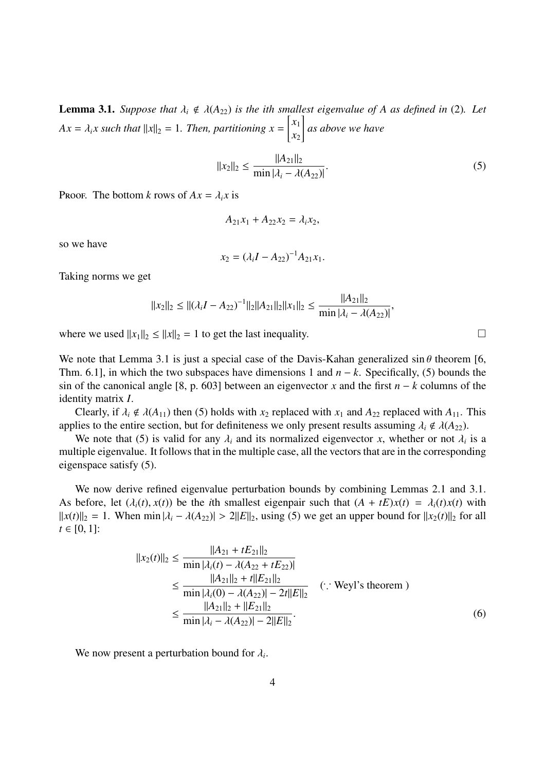**Lemma 3.1.** *Suppose that*  $\lambda_i \notin \lambda(A_{22})$  *is the ith smallest eigenvalue of A as defined in* (2). Let  $Ax = \lambda_i x$  *such that*  $||x||_2 = 1$ *. Then, partitioning*  $x = \begin{bmatrix} x_1 \\ x_2 \end{bmatrix}$  $\begin{bmatrix} x_1 \\ x_2 \end{bmatrix}$  as above we have

$$
||x_2||_2 \le \frac{||A_{21}||_2}{\min |\lambda_i - \lambda(A_{22})|}.
$$
\n(5)

PROOF. The bottom *k* rows of  $Ax = \lambda_i x$  is

$$
A_{21}x_1 + A_{22}x_2 = \lambda_i x_2,
$$

so we have

$$
x_2 = (\lambda_i I - A_{22})^{-1} A_{21} x_1.
$$

Taking norms we get

$$
||x_2||_2 \le ||(\lambda_i I - A_{22})^{-1}||_2||A_{21}||_2||x_1||_2 \le \frac{||A_{21}||_2}{\min |\lambda_i - \lambda(A_{22})|},
$$

where we used  $||x_1||_2 \le ||x||_2 = 1$  to get the last inequality.

We note that Lemma 3.1 is just a special case of the Davis-Kahan generalized  $\sin \theta$  theorem [6, Thm. 6.1], in which the two subspaces have dimensions 1 and *n* − *k*. Specifically, (5) bounds the sin of the canonical angle [8, p. 603] between an eigenvector *x* and the first *n* − *k* columns of the identity matrix *I*.

Clearly, if  $\lambda_i \notin \lambda(A_{11})$  then (5) holds with  $x_2$  replaced with  $x_1$  and  $A_{22}$  replaced with  $A_{11}$ . This applies to the entire section, but for definiteness we only present results assuming  $\lambda_i \notin \lambda(A_{22})$ .

We note that (5) is valid for any  $\lambda_i$  and its normalized eigenvector x, whether or not  $\lambda_i$  is a multiple eigenvalue. It follows that in the multiple case, all the vectors that are in the corresponding eigenspace satisfy (5).

We now derive refined eigenvalue perturbation bounds by combining Lemmas 2.1 and 3.1. As before, let  $(\lambda_i(t), x(t))$  be the *i*th smallest eigenpair such that  $(A + tE)x(t) = \lambda_i(t)x(t)$  with  $||x(t)||_2 = 1$ . When min  $|\lambda_i - \lambda(A_{22})| > 2||E||_2$ , using (5) we get an upper bound for  $||x_2(t)||_2$  for all  $t \in [0, 1]$ :

$$
||x_2(t)||_2 \le \frac{||A_{21} + tE_{21}||_2}{\min |\lambda_i(t) - \lambda(A_{22} + tE_{22})|}
$$
  
\n
$$
\le \frac{||A_{21}||_2 + t||E_{21}||_2}{\min |\lambda_i(0) - \lambda(A_{22})| - 2t||E||_2}
$$
 (: Weyl's theorem)  
\n
$$
\le \frac{||A_{21}||_2 + ||E_{21}||_2}{\min |\lambda_i - \lambda(A_{22})| - 2||E||_2}.
$$
 (6)

We now present a perturbation bound for  $\lambda_i$ .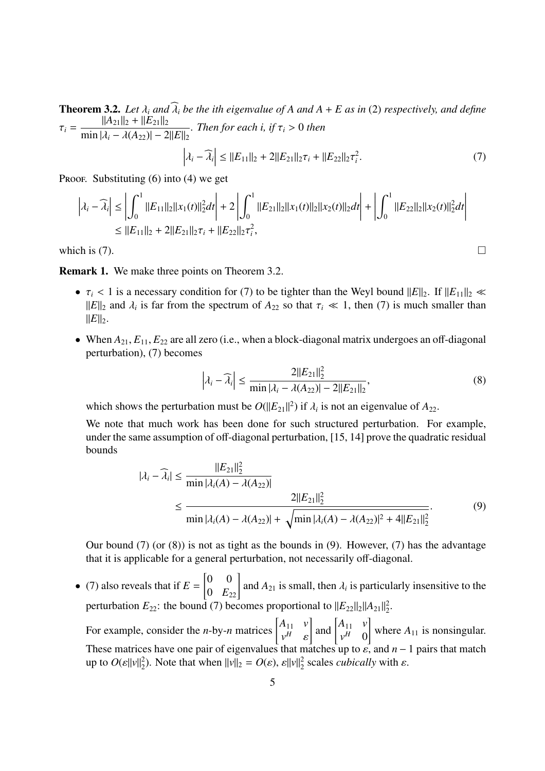**Theorem 3.2.** Let  $\lambda_i$  and  $\widehat{\lambda_i}$  be the *ith eigenvalue of*  $A$  *and*  $A + E$  *as in* (2) *respectively, and define*  $\tau_i =$  $||A_{21}||_2 + ||E_{21}||_2$  $\min |\lambda_i - \lambda(A_{22})| - 2||E||_2$ *. Then for each i, if* τ*<sup>i</sup>* > 0 *then*  $\overline{\lambda_i} - \widehat{\lambda_i}$  $\leq ||E_{11}||_2 + 2||E_{21}||_2\tau_i + ||E_{22}||_2\tau_i^2$ .  $(7)$ 

PROOF. Substituting  $(6)$  into  $(4)$  we get

$$
\left|\lambda_i - \widehat{\lambda}_i\right| \le \left|\int_0^1 \|E_{11}\|_2 \|x_1(t)\|_2^2 dt\right| + 2 \left|\int_0^1 \|E_{21}\|_2 \|x_1(t)\|_2 \|x_2(t)\|_2 dt\right| + \left|\int_0^1 \|E_{22}\|_2 \|x_2(t)\|_2^2 dt\right|
$$
  

$$
\le \|E_{11}\|_2 + 2\|E_{21}\|_2 \tau_i + \|E_{22}\|_2 \tau_i^2,
$$

which is (7).  $\Box$ 

Remark 1. We make three points on Theorem 3.2.

- $\tau_i$  < 1 is a necessary condition for (7) to be tighter than the Weyl bound  $||E||_2$ . If  $||E_{11}||_2 \ll$  $||E||_2$  and  $\lambda_i$  is far from the spectrum of  $A_{22}$  so that  $\tau_i \ll 1$ , then (7) is much smaller than  $||E||_2$ .
- When  $A_{21}$ ,  $E_{11}$ ,  $E_{22}$  are all zero (i.e., when a block-diagonal matrix undergoes an off-diagonal perturbation), (7) becomes

$$
\left|\lambda_i - \widehat{\lambda}_i\right| \le \frac{2||E_{21}||_2^2}{\min |\lambda_i - \lambda(A_{22})| - 2||E_{21}||_2},\tag{8}
$$

which shows the perturbation must be  $O(||E_{21}||^2)$  if  $\lambda_i$  is not an eigenvalue of  $A_{22}$ .

We note that much work has been done for such structured perturbation. For example, under the same assumption of off-diagonal perturbation, [15, 14] prove the quadratic residual bounds

$$
|\lambda_i - \widehat{\lambda}_i| \le \frac{||E_{21}||_2^2}{\min |\lambda_i(A) - \lambda(A_{22})|}
$$
  
 
$$
\le \frac{2||E_{21}||_2^2}{\min |\lambda_i(A) - \lambda(A_{22})| + \sqrt{\min |\lambda_i(A) - \lambda(A_{22})|^2 + 4||E_{21}||_2^2}}.
$$
 (9)

Our bound (7) (or (8)) is not as tight as the bounds in (9). However, (7) has the advantage that it is applicable for a general perturbation, not necessarily off-diagonal.

• (7) also reveals that if  $E =$ .<br>r 0 0  $\begin{bmatrix} 0 & 0 \\ 0 & E_{22} \end{bmatrix}$  and  $A_{21}$  is small, then  $\lambda_i$  is particularly insensitive to the perturbation  $E_{22}$ : the bound (7) becomes proportional to  $||E_{22}||_2||A_{21}||_2^2$  $\frac{2}{2}$ . For example, consider the *n*-by-*n* matrices  $\begin{bmatrix} A_{11} & v \\ v & A_{12} & v \end{bmatrix}$  $\begin{bmatrix} A_{11} & v \\ v^H & \varepsilon \end{bmatrix}$  and  $\begin{bmatrix} A_{11} & v \\ v^H & 0 \end{bmatrix}$ # #  $v_H$   $\begin{bmatrix} v \\ 0 \end{bmatrix}$  where  $A_{11}$  is nonsingular. These matrices have one pair of eigenvalues that matches up to  $\varepsilon$ , and  $n-1$  pairs that match up to  $O(\varepsilon ||v||_2^2)$ <sup>2</sup><sub>2</sub>). Note that when  $||v||_2 = O(\varepsilon)$ ,  $\varepsilon||v||_2^2$  $2<sub>2</sub>$  scales *cubically* with  $\varepsilon$ .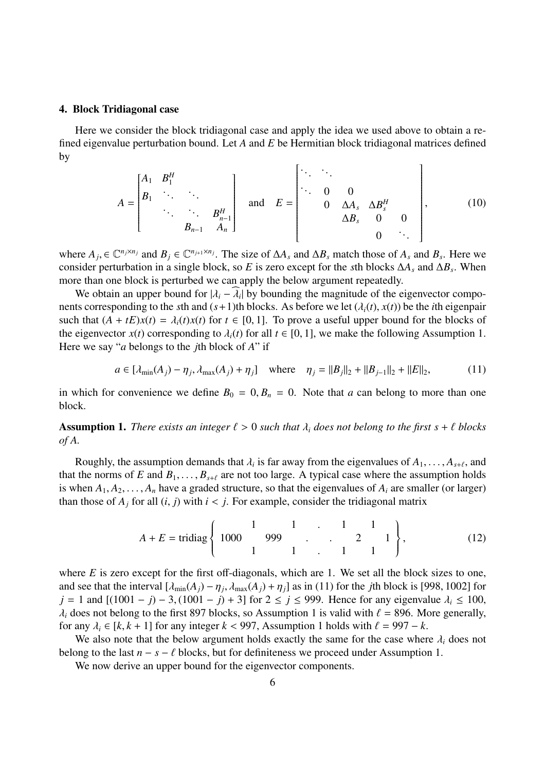#### 4. Block Tridiagonal case

Here we consider the block tridiagonal case and apply the idea we used above to obtain a refined eigenvalue perturbation bound. Let *A* and *E* be Hermitian block tridiagonal matrices defined by r  $\overline{\mathbf{I}}$ 

$$
A = \begin{bmatrix} A_1 & B_1^H & & & \\ B_1 & \ddots & \ddots & & \\ & \ddots & \ddots & B_{n-1}^H & A_n \end{bmatrix} \text{ and } E = \begin{bmatrix} \ddots & \ddots & & & & \\ \ddots & 0 & 0 & & \\ & 0 & \Delta A_s & \Delta B_s^H & & \\ & & \Delta B_s & 0 & 0 & \\ & & & 0 & \ddots \end{bmatrix}, \quad (10)
$$

where  $A_j$ ,  $\in \mathbb{C}^{n_j \times n_j}$  and  $B_j \in \mathbb{C}^{n_{j+1} \times n_j}$ . The size of  $\Delta A_s$  and  $\Delta B_s$  match those of  $A_s$  and  $B_s$ . Here we consider perturbation in a single block, so *E* is zero except for the *s*th blocks  $\Delta A_s$  and  $\Delta B_s$ . When more than one block is perturbed we can apply the below argument repeatedly.

We obtain an upper bound for  $|\lambda_i - \widehat{\lambda_i}|$  by bounding the magnitude of the eigenvector components corresponding to the *s*th and  $(s+1)$ th blocks. As before we let  $(\lambda_i(t), x(t))$  be the *i*th eigenpair such that  $(A + tE)x(t) = \lambda_i(t)x(t)$  for  $t \in [0, 1]$ . To prove a useful upper bound for the blocks of the eigenvector  $x(t)$  corresponding to  $\lambda_i(t)$  for all  $t \in [0, 1]$ , we make the following Assumption 1. Here we say "*a* belongs to the *j*th block of *A*" if

$$
a \in [\lambda_{\min}(A_j) - \eta_j, \lambda_{\max}(A_j) + \eta_j] \quad \text{where} \quad \eta_j = ||B_j||_2 + ||B_{j-1}||_2 + ||E||_2,\tag{11}
$$

in which for convenience we define  $B_0 = 0$ ,  $B_n = 0$ . Note that *a* can belong to more than one block.

**Assumption 1.** *There exists an integer*  $\ell > 0$  *such that*  $\lambda_i$  *does not belong to the first*  $s + \ell$  *blocks of A.*

Roughly, the assumption demands that  $\lambda_i$  is far away from the eigenvalues of  $A_1, \ldots, A_{s+\ell}$ , and that the norms of *E* and  $B_1, \ldots, B_{s+\ell}$  are not too large. A typical case where the assumption holds is when  $A_1, A_2, \ldots, A_n$  have a graded structure, so that the eigenvalues of  $A_i$  are smaller (or larger) than those of  $A_j$  for all  $(i, j)$  with  $i < j$ . For example, consider the tridiagonal matrix

$$
A + E = \text{tridiag}\left\{ \begin{array}{cccc} 1 & 1 & 1 & 1 \\ 1000 & 999 & 1 & 2 & 1 \\ 1 & 1 & 1 & 1 \end{array} \right\},
$$
 (12)

where *E* is zero except for the first off-diagonals, which are 1. We set all the block sizes to one, and see that the interval  $[\lambda_{min}(A_j) - \eta_j, \lambda_{max}(A_j) + \eta_j]$  as in (11) for the *j*th block is [998, 1002] for *j* = 1 and  $[(1001 - j) - 3, (1001 - j) + 3]$  for 2 ≤ *j* ≤ 999. Hence for any eigenvalue  $\lambda_i$  ≤ 100,  $\lambda_i$  does not belong to the first 897 blocks, so Assumption 1 is valid with  $\ell = 896$ . More generally, for any  $\lambda_i \in [k, k+1]$  for any integer  $k < 997$ , Assumption 1 holds with  $\ell = 997 - k$ .

We also note that the below argument holds exactly the same for the case where  $\lambda_i$  does not belong to the last  $n - s - \ell$  blocks, but for definiteness we proceed under Assumption 1.

We now derive an upper bound for the eigenvector components.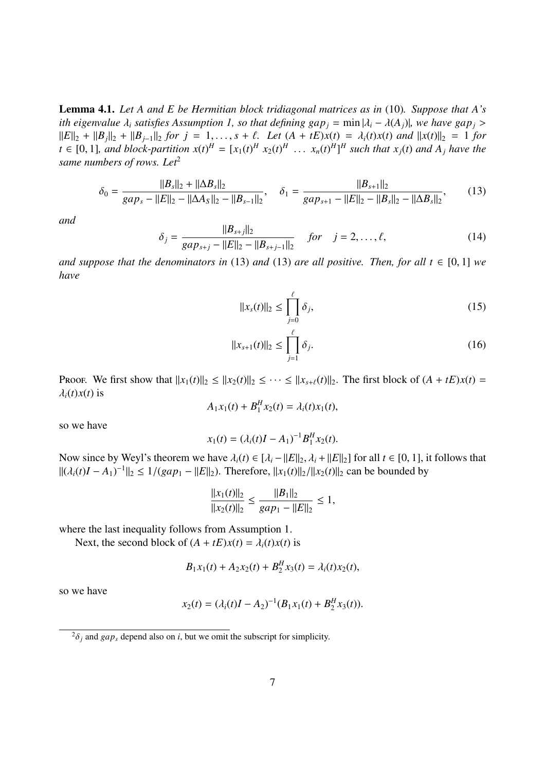Lemma 4.1. *Let A and E be Hermitian block tridiagonal matrices as in* (10)*. Suppose that A's ith eigenvalue*  $\lambda_i$  *satisfies* Assumption 1, so that defining  $gap_i = min|\lambda_i - \lambda(A_i)|$ , we have  $gap_i >$  $||E||_2 + ||B_j||_2 + ||B_{j-1}||_2$  for  $j = 1, ..., s + \ell$ . Let  $(A + tE)x(t) = \lambda_i(t)x(t)$  and  $||x(t)||_2 = 1$  for  $t \in [0,1]$ , and block-partition  $x(t)^H = [x_1(t)^H x_2(t)^H \dots x_n(t)^H]^H$  such that  $x_j(t)$  and  $A_j$  have the *same numbers of rows. Let*<sup>2</sup>

$$
\delta_0 = \frac{\|B_s\|_2 + \|\Delta B_s\|_2}{gap_s - \|E\|_2 - \|\Delta A_s\|_2 - \|B_{s-1}\|_2}, \quad \delta_1 = \frac{\|B_{s+1}\|_2}{gap_{s+1} - \|E\|_2 - \|B_s\|_2 - \|\Delta B_s\|_2},\tag{13}
$$

*and*

$$
\delta_j = \frac{||B_{s+j}||_2}{gap_{s+j} - ||E||_2 - ||B_{s+j-1}||_2} \quad \text{for} \quad j = 2, \dots, \ell,
$$
\n(14)

*and suppose that the denominators in* (13) *and* (13) *are all positive. Then, for all*  $t \in [0, 1]$  *we have*

$$
||x_s(t)||_2 \le \prod_{j=0}^{\ell} \delta_j,
$$
\n(15)

$$
||x_{s+1}(t)||_2 \le \prod_{j=1}^{\ell} \delta_j.
$$
 (16)

**PROOF.** We first show that  $||x_1(t)||_2 \le ||x_2(t)||_2 \le \cdots \le ||x_{s+\ell}(t)||_2$ . The first block of  $(A + tE)x(t) =$  $\lambda_i(t)x(t)$  is

$$
A_1x_1(t) + B_1^H x_2(t) = \lambda_i(t)x_1(t),
$$

so we have

$$
x_1(t) = (\lambda_i(t)I - A_1)^{-1}B_1^H x_2(t).
$$

Now since by Weyl's theorem we have  $\lambda_i(t) \in [\lambda_i - ||E||_2, \lambda_i + ||E||_2]$  for all  $t \in [0, 1]$ , it follows that  $||(\lambda_i(t)I - A_1)^{-1}||_2 \le 1/(gap_1 - ||E||_2)$ . Therefore,  $||x_1(t)||_2/||x_2(t)||_2$  can be bounded by

$$
\frac{||x_1(t)||_2}{||x_2(t)||_2} \le \frac{||B_1||_2}{gap_1 - ||E||_2} \le 1,
$$

where the last inequality follows from Assumption 1.

Next, the second block of  $(A + tE)x(t) = \lambda_i(t)x(t)$  is

$$
B_1x_1(t) + A_2x_2(t) + B_2^H x_3(t) = \lambda_i(t)x_2(t),
$$

so we have

$$
x_2(t) = (\lambda_i(t)I - A_2)^{-1}(B_1x_1(t) + B_2^Hx_3(t)).
$$

 $^{2}\delta_{j}$  and *gap<sub>s</sub>* depend also on *i*, but we omit the subscript for simplicity.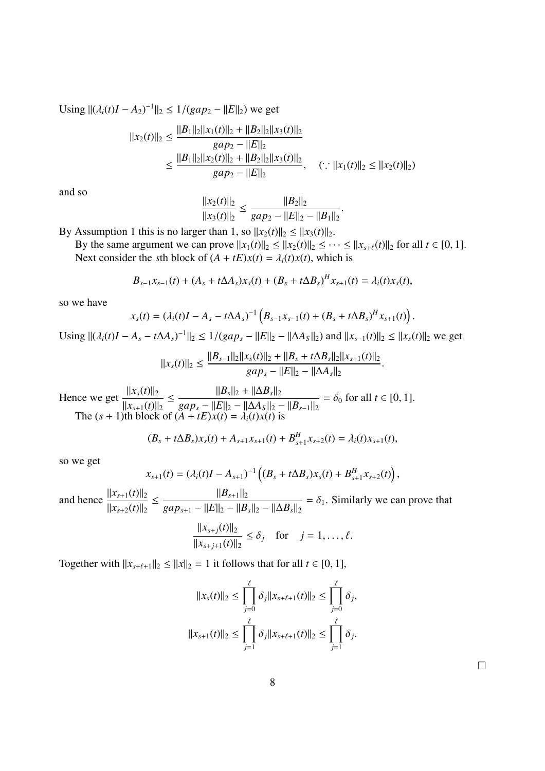Using 
$$
||(\lambda_i(t)I - A_2)^{-1}||_2 \le 1/(gap_2 - ||E||_2)
$$
 we get  
\n
$$
||x_2(t)||_2 \le \frac{||B_1||_2||x_1(t)||_2 + ||B_2||_2||x_3(t)||_2}{gap_2 - ||E||_2}
$$
\n
$$
\le \frac{||B_1||_2||x_2(t)||_2 + ||B_2||_2||x_3(t)||_2}{gap_2 - ||E||_2}, \quad (\because ||x_1(t)||_2 \le ||x_2(t)||_2)
$$

and so

$$
\frac{||x_2(t)||_2}{||x_3(t)||_2} \le \frac{||B_2||_2}{gap_2 - ||E||_2 - ||B_1||_2}.
$$

By Assumption 1 this is no larger than 1, so  $||x_2(t)||_2 \le ||x_3(t)||_2$ .

By the same argument we can prove  $||x_1(t)||_2 \le ||x_2(t)||_2 \le \cdots \le ||x_{s+\ell}(t)||_2$  for all  $t \in [0, 1]$ . Next consider the *s*th block of  $(A + tE)x(t) = \lambda_i(t)x(t)$ , which is

$$
B_{s-1}x_{s-1}(t) + (A_s + t\Delta A_s)x_s(t) + (B_s + t\Delta B_s)^H x_{s+1}(t) = \lambda_i(t)x_s(t),
$$

so we have

$$
x_{s}(t) = (\lambda_{i}(t)I - A_{s} - t\Delta A_{s})^{-1} \left(B_{s-1}x_{s-1}(t) + (B_{s} + t\Delta B_{s})^{H}x_{s+1}(t)\right).
$$

Using  $||(\lambda_i(t)I - A_s - t\Delta A_s)^{-1}||_2 \le 1/(gap_s - ||E||_2 - ||\Delta A_s||_2)$  and  $||x_{s-1}(t)||_2 \le ||x_s(t)||_2$  we get

$$
||x_{s}(t)||_{2} \leq \frac{||B_{s-1}||_{2}||x_{s}(t)||_{2} + ||B_{s} + t\Delta B_{s}||_{2}||x_{s+1}(t)||_{2}}{gap_{s} - ||E||_{2} - ||\Delta A_{s}||_{2}}.
$$

Hence we get  $\frac{\|x_s(t)\|_2}{\|x_s(t)\|_2}$  $||x_{s+1}(t)||_2$  $\leq$   $\frac{\|B_s\|_2 + \|\Delta B_s\|_2}{\|B_s\|_2 + \|\Delta B_s\|_2}$  $gap_s - ||E||_2 - ||\Delta A_s||_2 - ||B_{s-1}||_2$  $= \delta_0$  for all  $t \in [0, 1]$ . The  $(s + 1)$ th block of  $(A + tE)x(t) = \lambda_i(t)x(t)$  is

$$
(B_s + t\Delta B_s)x_s(t) + A_{s+1}x_{s+1}(t) + B_{s+1}^H x_{s+2}(t) = \lambda_i(t)x_{s+1}(t),
$$

so we get

$$
x_{s+1}(t) = (\lambda_i(t)I - A_{s+1})^{-1} ((B_s + t\Delta B_s)x_s(t) + B_{s+1}^H x_{s+2}(t)),
$$

and hence  $\frac{||x_{s+1}(t)||_2}{||x_{s+1}(t)||_2}$  $||x_{s+2}(t)||_2$  $\leq$   $\frac{||B_{s+1}||_2}{||E||_2}$  $gap_{s+1} - ||E||_2 - ||B_s||_2 - ||\Delta B_s||_2$  $= \delta_1$ . Similarly we can prove that

$$
\frac{||x_{s+j}(t)||_2}{||x_{s+j+1}(t)||_2} \le \delta_j \quad \text{for} \quad j = 1, \dots, \ell.
$$

Together with  $||x_{s+\ell+1}||_2 \le ||x||_2 = 1$  it follows that for all  $t \in [0, 1]$ ,

$$
||x_{s}(t)||_{2} \leq \prod_{j=0}^{\ell} \delta_{j} ||x_{s+\ell+1}(t)||_{2} \leq \prod_{j=0}^{\ell} \delta_{j},
$$
  

$$
||x_{s+1}(t)||_{2} \leq \prod_{j=1}^{\ell} \delta_{j} ||x_{s+\ell+1}(t)||_{2} \leq \prod_{j=1}^{\ell} \delta_{j}.
$$

 $\Box$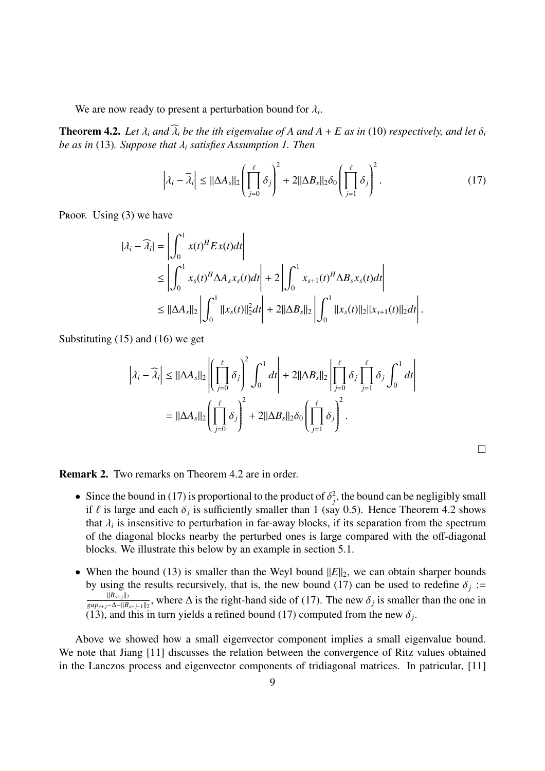We are now ready to present a perturbation bound for  $\lambda_i$ .

**Theorem 4.2.** Let  $\lambda_i$  and  $\widehat{\lambda_i}$  be the *i*th eigenvalue of A and  $A + E$  as in (10) respectively, and let  $\delta_i$ *be as in* (13)*. Suppose that* λ*<sup>i</sup> satisfies Assumption 1. Then*

$$
\left|\lambda_i - \widehat{\lambda}_i\right| \le ||\Delta A_s||_2 \left(\prod_{j=0}^{\ell} \delta_j\right)^2 + 2||\Delta B_s||_2 \delta_0 \left(\prod_{j=1}^{\ell} \delta_j\right)^2.
$$
 (17)

Proof. Using  $(3)$  we have

$$
|\lambda_i - \widehat{\lambda}_i| = \left| \int_0^1 x(t)^H E x(t) dt \right|
$$
  
\n
$$
\leq \left| \int_0^1 x_s(t)^H \Delta A_s x_s(t) dt \right| + 2 \left| \int_0^1 x_{s+1}(t)^H \Delta B_s x_s(t) dt \right|
$$
  
\n
$$
\leq ||\Delta A_s||_2 \left| \int_0^1 ||x_s(t)||_2^2 dt \right| + 2 ||\Delta B_s||_2 \left| \int_0^1 ||x_s(t)||_2 ||x_{s+1}(t)||_2 dt \right|.
$$

Substituting (15) and (16) we get

$$
\left|\lambda_{i} - \widehat{\lambda}_{i}\right| \leq ||\Delta A_{s}||_{2} \left|\left(\prod_{j=0}^{\ell} \delta_{j}\right)^{2} \int_{0}^{1} dt\right| + 2||\Delta B_{s}||_{2} \left|\prod_{j=0}^{\ell} \delta_{j} \prod_{j=1}^{\ell} \delta_{j} \int_{0}^{1} dt\right|
$$

$$
= ||\Delta A_{s}||_{2} \left(\prod_{j=0}^{\ell} \delta_{j}\right)^{2} + 2||\Delta B_{s}||_{2} \delta_{0} \left(\prod_{j=1}^{\ell} \delta_{j}\right)^{2}.
$$

Remark 2. Two remarks on Theorem 4.2 are in order.

- Since the bound in (17) is proportional to the product of  $\delta_j^2$ , the bound can be negligibly small if  $\ell$  is large and each  $\delta_j$  is sufficiently smaller than 1 (say 0.5). Hence Theorem 4.2 shows that  $\lambda_i$  is insensitive to perturbation in far-away blocks, if its separation from the spectrum of the diagonal blocks nearby the perturbed ones is large compared with the off-diagonal blocks. We illustrate this below by an example in section 5.1.
- When the bound (13) is smaller than the Weyl bound  $||E||_2$ , we can obtain sharper bounds by using the results recursively, that is, the new bound (17) can be used to redefine  $\delta_j :=$  $||B_{s+j}||_2$  $\frac{\|B_{s+j}\|_2}{gap_{s+j}-\Delta-\|B_{s+j-1}\|_2}$ , where  $\Delta$  is the right-hand side of (17). The new  $\delta_j$  is smaller than the one in (13), and this in turn yields a refined bound (17) computed from the new  $\delta_j$ .

Above we showed how a small eigenvector component implies a small eigenvalue bound. We note that Jiang [11] discusses the relation between the convergence of Ritz values obtained in the Lanczos process and eigenvector components of tridiagonal matrices. In patricular, [11]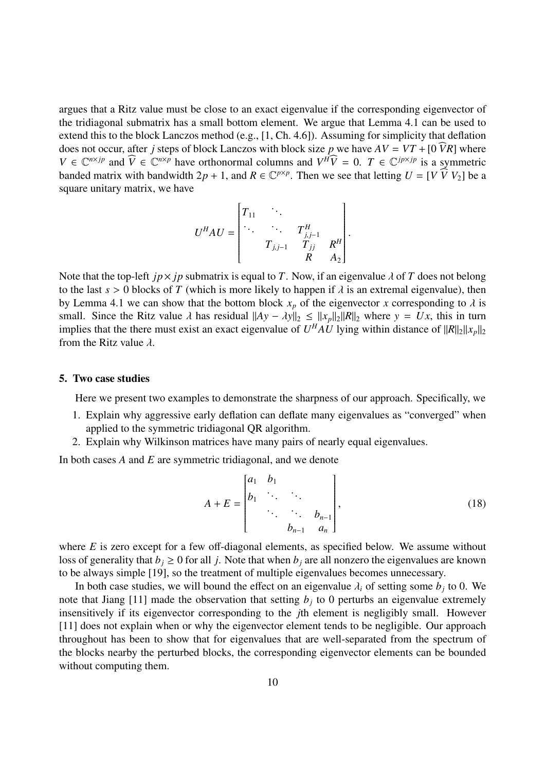argues that a Ritz value must be close to an exact eigenvalue if the corresponding eigenvector of the tridiagonal submatrix has a small bottom element. We argue that Lemma 4.1 can be used to extend this to the block Lanczos method (e.g., [1, Ch. 4.6]). Assuming for simplicity that deflation does not occur, after *j* steps of block Lanczos with block size *p* we have  $AV = VT + [0 \widehat{V}R]$  where  $V \in \mathbb{C}^{n \times jp}$  and  $\widehat{V} \in \mathbb{C}^{n \times p}$  have orthonormal columns and  $V^H \widehat{V} = 0$ .  $T \in \mathbb{C}^{j p \times j p}$  is a symmetric banded matrix with bandwidth  $2p + 1$ , and  $R \in \mathbb{C}^{p \times p}$ . Then we see that letting  $U = [V \overrightarrow{V} V_2]$  be a square unitary matrix, we have

$$
U^{H}AU = \begin{bmatrix} T_{11} & \cdots & & & \\ \ddots & \ddots & & T_{j,j-1}^{H} & \\ & T_{j,j-1} & T_{jj} & R^{H} \\ & & R & A_{2} \end{bmatrix}.
$$

Note that the top-left *jp* $\times$  *jp* submatrix is equal to *T*. Now, if an eigenvalue  $\lambda$  of *T* does not belong to the last  $s > 0$  blocks of *T* (which is more likely to happen if  $\lambda$  is an extremal eigenvalue), then by Lemma 4.1 we can show that the bottom block  $x_p$  of the eigenvector *x* corresponding to  $\lambda$  is small. Since the Ritz value  $\lambda$  has residual  $||Ay - \lambda y||_2 \le ||x_p||_2||R||_2$  where  $y = Ux$ , this in turn implies that the there must exist an exact eigenvalue of  $U^H A U$  lying within distance of  $||R||_2||x_p||_2$ from the Ritz value  $\lambda$ .

#### 5. Two case studies

Here we present two examples to demonstrate the sharpness of our approach. Specifically, we

- 1. Explain why aggressive early deflation can deflate many eigenvalues as "converged" when applied to the symmetric tridiagonal QR algorithm.
- 2. Explain why Wilkinson matrices have many pairs of nearly equal eigenvalues.

In both cases *A* and *E* are symmetric tridiagonal, and we denote

$$
A + E = \begin{bmatrix} a_1 & b_1 & & & \\ b_1 & \ddots & \ddots & & \\ & \ddots & \ddots & b_{n-1} \\ & & b_{n-1} & a_n \end{bmatrix},
$$
 (18)

where *E* is zero except for a few off-diagonal elements, as specified below. We assume without loss of generality that  $b_j \ge 0$  for all *j*. Note that when  $b_j$  are all nonzero the eigenvalues are known to be always simple [19], so the treatment of multiple eigenvalues becomes unnecessary.

In both case studies, we will bound the effect on an eigenvalue  $\lambda_i$  of setting some  $b_j$  to 0. We note that Jiang [11] made the observation that setting  $b_j$  to 0 perturbs an eigenvalue extremely insensitively if its eigenvector corresponding to the *j*th element is negligibly small. However [11] does not explain when or why the eigenvector element tends to be negligible. Our approach throughout has been to show that for eigenvalues that are well-separated from the spectrum of the blocks nearby the perturbed blocks, the corresponding eigenvector elements can be bounded without computing them.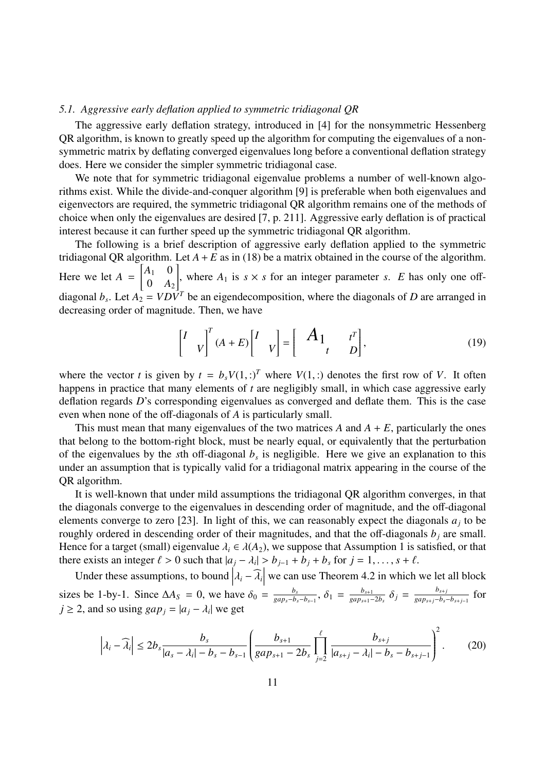#### *5.1. Aggressive early deflation applied to symmetric tridiagonal QR*

The aggressive early deflation strategy, introduced in [4] for the nonsymmetric Hessenberg QR algorithm, is known to greatly speed up the algorithm for computing the eigenvalues of a nonsymmetric matrix by deflating converged eigenvalues long before a conventional deflation strategy does. Here we consider the simpler symmetric tridiagonal case.

We note that for symmetric tridiagonal eigenvalue problems a number of well-known algorithms exist. While the divide-and-conquer algorithm [9] is preferable when both eigenvalues and eigenvectors are required, the symmetric tridiagonal QR algorithm remains one of the methods of choice when only the eigenvalues are desired [7, p. 211]. Aggressive early deflation is of practical interest because it can further speed up the symmetric tridiagonal QR algorithm.

The following is a brief description of aggressive early deflation applied to the symmetric tridiagonal QR algorithm. Let  $A + E$  as in (18) be a matrix obtained in the course of the algorithm. Here we let  $A = \begin{bmatrix} A_1 & 0 \\ 0 & 1 \end{bmatrix}$  $\begin{bmatrix} 1 & 0 \\ 0 & A_2 \end{bmatrix}$ , where  $A_1$  is  $s \times s$  for an integer parameter *s*. *E* has only one offdiagonal  $b_s$ . Let  $A_2 = V D \overline{V^T}$  be an eigendecomposition, where the diagonals of *D* are arranged in decreasing order of magnitude. Then, we have

$$
\begin{bmatrix} I & V \end{bmatrix}^T (A + E) \begin{bmatrix} I & V \end{bmatrix} = \begin{bmatrix} A_1 & t^T \\ t & D \end{bmatrix}, \tag{19}
$$

where the vector *t* is given by  $t = b_s V(1,:)$  where  $V(1,:)$  denotes the first row of *V*. It often happens in practice that many elements of *t* are negligibly small, in which case aggressive early deflation regards *D*'s corresponding eigenvalues as converged and deflate them. This is the case even when none of the off-diagonals of *A* is particularly small.

This must mean that many eigenvalues of the two matrices  $A$  and  $A + E$ , particularly the ones that belong to the bottom-right block, must be nearly equal, or equivalently that the perturbation of the eigenvalues by the *s*th off-diagonal *b<sup>s</sup>* is negligible. Here we give an explanation to this under an assumption that is typically valid for a tridiagonal matrix appearing in the course of the QR algorithm.

It is well-known that under mild assumptions the tridiagonal QR algorithm converges, in that the diagonals converge to the eigenvalues in descending order of magnitude, and the off-diagonal elements converge to zero [23]. In light of this, we can reasonably expect the diagonals  $a_j$  to be roughly ordered in descending order of their magnitudes, and that the off-diagonals *b<sup>j</sup>* are small. Hence for a target (small) eigenvalue  $\lambda_i \in \lambda(A_2)$ , we suppose that Assumption 1 is satisfied, or that there exists an integer  $\ell > 0$  such that  $|a_j - \lambda_i| > b_{j-1} + b_j + b_s$  for  $j = 1, ..., s + \ell$ .

Under these assumptions, to bound  $\left|\lambda_i - \widehat{\lambda}_i\right|$  we can use Theorem 4.2 in which we let all block sizes be 1-by-1. Since  $\Delta A_S = 0$ , we have  $\delta_0 = \frac{b_s}{\sqrt{2a_0-b_0}}$  $\frac{b_s}{gap_s - b_s - b_{s-1}}$ ,  $\delta_1 = \frac{b_{s+1}}{gap_{s+1}}$  $\frac{b_{s+1}}{gap_{s+1}-2b_s}$   $\delta_j = \frac{b_{s+j}}{gap_{s+j}-b_s}$  $\frac{b_{s+j}}{gap_{s+j}-b_s-b_{s+j-1}}$  for  $j \ge 2$ , and so using  $gap_j = |a_j - \lambda_i|$  we get

$$
\left|\lambda_{i}-\widehat{\lambda}_{i}\right| \leq 2b_{s} \frac{b_{s}}{|a_{s}-\lambda_{i}| - b_{s}-b_{s-1}} \left(\frac{b_{s+1}}{gap_{s+1}-2b_{s}} \prod_{j=2}^{\ell} \frac{b_{s+j}}{|a_{s+j}-\lambda_{i}| - b_{s}-b_{s+j-1}}\right)^{2}.
$$
 (20)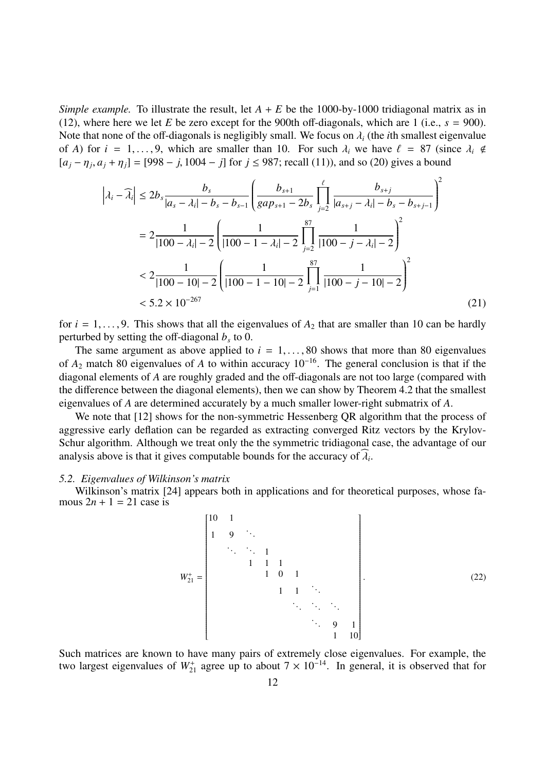*Simple example.* To illustrate the result, let  $A + E$  be the 1000-by-1000 tridiagonal matrix as in (12), where here we let *E* be zero except for the 900th off-diagonals, which are 1 (i.e.,  $s = 900$ ). Note that none of the off-diagonals is negligibly small. We focus on  $\lambda_i$  (the *i*th smallest eigenvalue of *A*) for  $i = 1, ..., 9$ , which are smaller than 10. For such  $\lambda_i$  we have  $\ell = 87$  (since  $\lambda_i \notin$  $[a_j - \eta_j, a_j + \eta_j] = [998 - j, 1004 - j]$  for  $j \le 987$ ; recall (11)), and so (20) gives a bound

$$
\left| \lambda_{i} - \widehat{\lambda}_{i} \right| \leq 2b_{s} \frac{b_{s}}{|a_{s} - \lambda_{i}| - b_{s} - b_{s-1}} \left( \frac{b_{s+1}}{gap_{s+1} - 2b_{s}} \prod_{j=2}^{\ell} \frac{b_{s+j}}{|a_{s+j} - \lambda_{i}| - b_{s} - b_{s+j-1}} \right)^{2}
$$
  

$$
= 2 \frac{1}{|100 - \lambda_{i}| - 2} \left( \frac{1}{|100 - 1 - \lambda_{i}| - 2} \prod_{j=2}^{87} \frac{1}{|100 - j - \lambda_{i}| - 2} \right)^{2}
$$
  

$$
< 2 \frac{1}{|100 - 10| - 2} \left( \frac{1}{|100 - 1 - 10| - 2} \prod_{j=1}^{87} \frac{1}{|100 - j - 10| - 2} \right)^{2}
$$
  

$$
< 5.2 \times 10^{-267} \tag{21}
$$

for  $i = 1, \ldots, 9$ . This shows that all the eigenvalues of  $A_2$  that are smaller than 10 can be hardly perturbed by setting the off-diagonal *b<sup>s</sup>* to 0.

The same argument as above applied to  $i = 1, \ldots, 80$  shows that more than 80 eigenvalues of *A*<sup>2</sup> match 80 eigenvalues of *A* to within accuracy 10<sup>−</sup><sup>16</sup>. The general conclusion is that if the diagonal elements of *A* are roughly graded and the off-diagonals are not too large (compared with the difference between the diagonal elements), then we can show by Theorem 4.2 that the smallest eigenvalues of *A* are determined accurately by a much smaller lower-right submatrix of *A*.

We note that [12] shows for the non-symmetric Hessenberg QR algorithm that the process of aggressive early deflation can be regarded as extracting converged Ritz vectors by the Krylov-Schur algorithm. Although we treat only the the symmetric tridiagonal case, the advantage of our analysis above is that it gives computable bounds for the accuracy of  $\widehat{\lambda}_i$ .

#### *5.2. Eigenvalues of Wilkinson's matrix*

Wilkinson's matrix [24] appears both in applications and for theoretical purposes, whose famous  $2n + 1 = 21$  case is

*W*<sup>+</sup> <sup>21</sup> = 10 1 1 9 . . . . . . . . . 1 1 1 1 1 0 1 1 1 . . . . . . . . . . . . . . . 9 1 1 10 . (22)

Such matrices are known to have many pairs of extremely close eigenvalues. For example, the two largest eigenvalues of  $W_{21}^+$  agree up to about  $7 \times 10^{-14}$ . In general, it is observed that for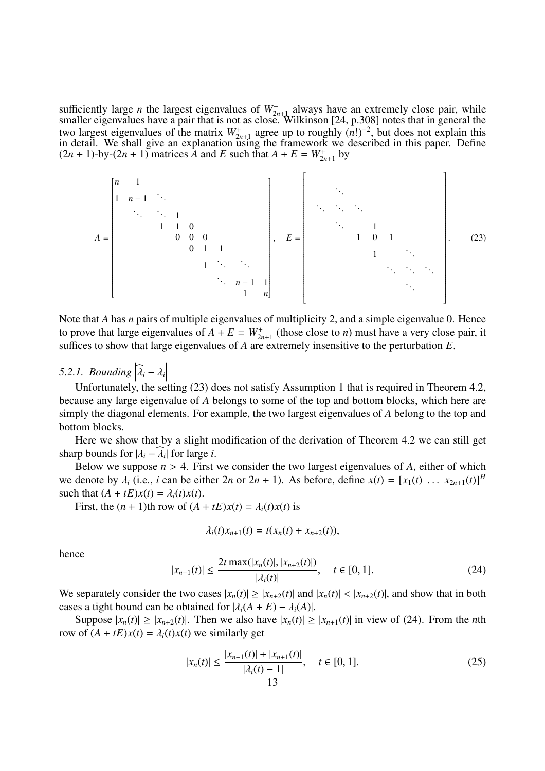sufficiently large *n* the largest eigenvalues of  $W_{2n+1}^+$  always have an extremely close pair, while smaller eigenvalues have a pair that is not as close. Wilkinson [24, p.308] notes that in general the two largest eigenvalues of the matrix  $W_{2n+1}^+$  agree up to roughly  $(n!)^{-2}$ , but does not explain this in detail. We shall give an explanation using the framework we described in this paper. Define  $(2n + 1)$ -by- $(2n + 1)$  matrices A and E such that  $A + E = W_{2n+1}^+$  by

*A* = *n* 1 1 *n* − 1 . . . . . . . . . 1 1 1 0 0 0 0 0 1 1 1 . . . . . . . . . *n* − 1 1 1 *n* , *E* = . . . . . . . . . . . . . . . 1 1 0 1 1 . . . . . . . . . . . . . . . . (23)

Note that *A* has *n* pairs of multiple eigenvalues of multiplicity 2, and a simple eigenvalue 0. Hence to prove that large eigenvalues of  $A + E = W_{2n+1}^+$  (those close to *n*) must have a very close pair, it suffices to show that large eigenvalues of *A* are extremely insensitive to the perturbation *E*.

#### *5.2.1. Bounding*  $\left| \widehat{\lambda}_i - \lambda_i \right|$  $\begin{array}{c} \begin{array}{c} \begin{array}{c} \end{array} \\ \begin{array}{c} \end{array} \end{array} \end{array}$

Unfortunately, the setting (23) does not satisfy Assumption 1 that is required in Theorem 4.2, because any large eigenvalue of *A* belongs to some of the top and bottom blocks, which here are simply the diagonal elements. For example, the two largest eigenvalues of *A* belong to the top and bottom blocks.

Here we show that by a slight modification of the derivation of Theorem 4.2 we can still get sharp bounds for  $|\lambda_i - \widehat{\lambda_i}|$  for large *i*.

Below we suppose  $n > 4$ . First we consider the two largest eigenvalues of *A*, either of which we denote by  $\lambda_i$  (i.e., *i* can be either  $2n$  or  $2n + 1$ ). As before, define  $x(t) = [x_1(t) \dots x_{2n+1}(t)]^H$ such that  $(A + tE)x(t) = \lambda_i(t)x(t)$ .

First, the  $(n + 1)$ th row of  $(A + tE)x(t) = \lambda_i(t)x(t)$  is

$$
\lambda_i(t)x_{n+1}(t) = t(x_n(t) + x_{n+2}(t)),
$$

hence

$$
|x_{n+1}(t)| \le \frac{2t \max(|x_n(t)|, |x_{n+2}(t)|)}{|\lambda_i(t)|}, \quad t \in [0, 1].
$$
 (24)

We separately consider the two cases  $|x_n(t)| \ge |x_{n+2}(t)|$  and  $|x_n(t)| < |x_{n+2}(t)|$ , and show that in both cases a tight bound can be obtained for  $|\lambda_i(A + E) - \lambda_i(A)|$ .

Suppose  $|x_n(t)| \ge |x_{n+2}(t)|$ . Then we also have  $|x_n(t)| \ge |x_{n+1}(t)|$  in view of (24). From the *n*th row of  $(A + tE)x(t) = \lambda_i(t)x(t)$  we similarly get

$$
|x_n(t)| \le \frac{|x_{n-1}(t)| + |x_{n+1}(t)|}{|\lambda_i(t) - 1|}, \quad t \in [0, 1].
$$
 (25)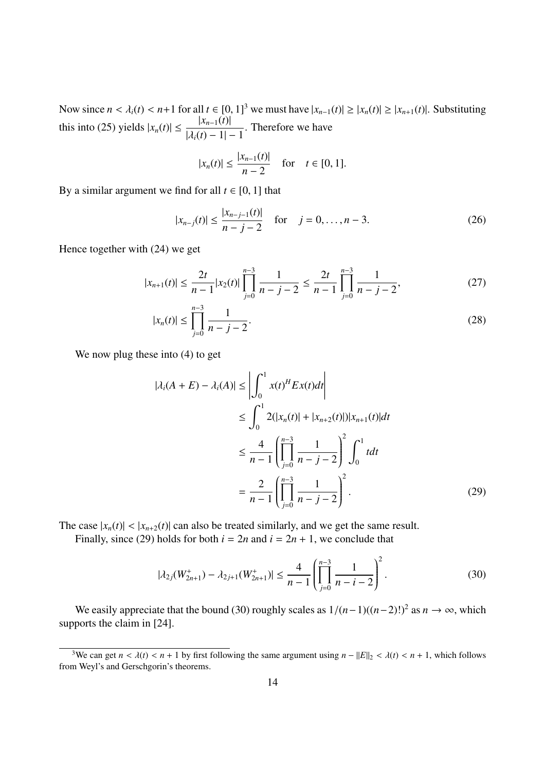Now since  $n < \lambda_i(t) < n+1$  for all  $t \in [0, 1]^3$  we must have  $|x_{n-1}(t)| \ge |x_n(t)| \ge |x_{n+1}(t)|$ . Substituting this into (25) yields  $|x_n(t)| \leq \frac{|x_{n-1}(t)|}{|x_n(t)|}$  $|\lambda_i(t) - 1| - 1$ . Therefore we have

$$
|x_n(t)| \le \frac{|x_{n-1}(t)|}{n-2}
$$
 for  $t \in [0, 1]$ .

By a similar argument we find for all  $t \in [0, 1]$  that

$$
|x_{n-j}(t)| \le \frac{|x_{n-j-1}(t)|}{n-j-2} \quad \text{for} \quad j=0,\ldots,n-3. \tag{26}
$$

Hence together with (24) we get

$$
|x_{n+1}(t)| \le \frac{2t}{n-1} |x_2(t)| \prod_{j=0}^{n-3} \frac{1}{n-j-2} \le \frac{2t}{n-1} \prod_{j=0}^{n-3} \frac{1}{n-j-2},
$$
 (27)

$$
|x_n(t)| \le \prod_{j=0}^{n-3} \frac{1}{n-j-2}.\tag{28}
$$

We now plug these into (4) to get

$$
|\lambda_i(A+E) - \lambda_i(A)| \le \left| \int_0^1 x(t)^H E x(t) dt \right|
$$
  
\n
$$
\le \int_0^1 2(|x_n(t)| + |x_{n+2}(t)|) |x_{n+1}(t)| dt
$$
  
\n
$$
\le \frac{4}{n-1} \left( \prod_{j=0}^{n-3} \frac{1}{n-j-2} \right)^2 \int_0^1 t dt
$$
  
\n
$$
= \frac{2}{n-1} \left( \prod_{j=0}^{n-3} \frac{1}{n-j-2} \right)^2.
$$
 (29)

The case  $|x_n(t)| < |x_{n+2}(t)|$  can also be treated similarly, and we get the same result.

Finally, since (29) holds for both  $i = 2n$  and  $i = 2n + 1$ , we conclude that

$$
|\lambda_{2j}(W_{2n+1}^{+}) - \lambda_{2j+1}(W_{2n+1}^{+})| \le \frac{4}{n-1} \left( \prod_{j=0}^{n-3} \frac{1}{n-i-2} \right)^2.
$$
 (30)

We easily appreciate that the bound (30) roughly scales as  $1/(n-1)((n-2)!)^2$  as  $n \to \infty$ , which supports the claim in [24].

<sup>&</sup>lt;sup>3</sup>We can get  $n < \lambda(t) < n + 1$  by first following the same argument using  $n - ||E||_2 < \lambda(t) < n + 1$ , which follows from Weyl's and Gerschgorin's theorems.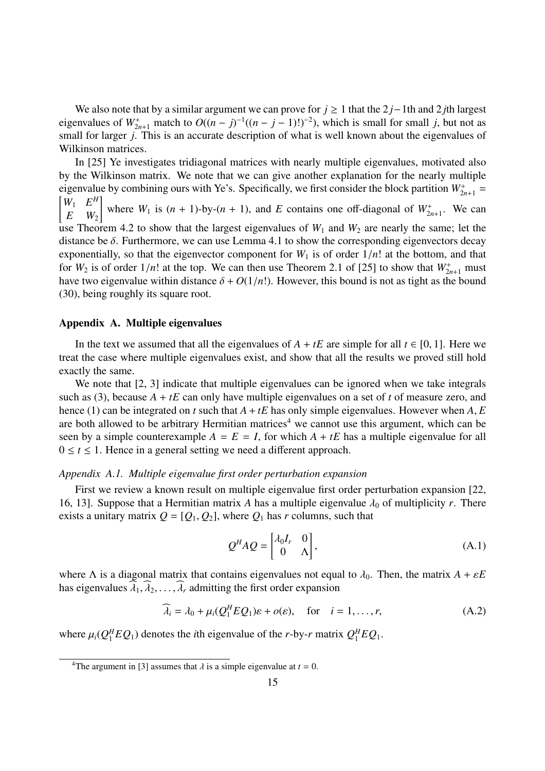We also note that by a similar argument we can prove for *j* ≥ 1 that the 2 *j*−1th and 2 *j*th largest eigenvalues of  $W^+_{2n+1}$  match to  $O((n-j)^{-1}((n-j-1)!)^{-2})$ , which is small for small *j*, but not as small for larger *j*. This is an accurate description of what is well known about the eigenvalues of Wilkinson matrices.

In [25] Ye investigates tridiagonal matrices with nearly multiple eigenvalues, motivated also by the Wilkinson matrix. We note that we can give another explanation for the nearly multiple eigenvalue by combining ours with Ye's. Specifically, we first consider the block partition  $W_{2n+1}^+ =$  $W_1$   $E^H$  $E$   $W_2$ ון<br>ד where  $W_1$  is  $(n + 1)$ -by- $(n + 1)$ , and *E* contains one off-diagonal of  $W_{2n+1}^+$ . We can use Theorem 4.2 to show that the largest eigenvalues of  $W_1$  and  $W_2$  are nearly the same; let the distance be  $\delta$ . Furthermore, we can use Lemma 4.1 to show the corresponding eigenvectors decay exponentially, so that the eigenvector component for  $W_1$  is of order  $1/n!$  at the bottom, and that for  $W_2$  is of order  $1/n!$  at the top. We can then use Theorem 2.1 of [25] to show that  $W_{2n+1}^+$  must have two eigenvalue within distance  $\delta + O(1/n!)$ . However, this bound is not as tight as the bound (30), being roughly its square root.

#### Appendix A. Multiple eigenvalues

In the text we assumed that all the eigenvalues of  $A + tE$  are simple for all  $t \in [0, 1]$ . Here we treat the case where multiple eigenvalues exist, and show that all the results we proved still hold exactly the same.

We note that [2, 3] indicate that multiple eigenvalues can be ignored when we take integrals such as (3), because  $A + tE$  can only have multiple eigenvalues on a set of *t* of measure zero, and hence (1) can be integrated on *t* such that  $A + tE$  has only simple eigenvalues. However when  $A, E$ are both allowed to be arbitrary Hermitian matrices<sup>4</sup> we cannot use this argument, which can be seen by a simple counterexample  $A = E = I$ , for which  $A + tE$  has a multiple eigenvalue for all  $0 \le t \le 1$ . Hence in a general setting we need a different approach.

#### *Appendix A.1. Multiple eigenvalue first order perturbation expansion*

First we review a known result on multiple eigenvalue first order perturbation expansion [22, 16, 13]. Suppose that a Hermitian matrix *A* has a multiple eigenvalue  $\lambda_0$  of multiplicity *r*. There exists a unitary matrix  $Q = [Q_1, Q_2]$ , where  $Q_1$  has *r* columns, such that

$$
Q^H A Q = \begin{bmatrix} \lambda_0 I_r & 0 \\ 0 & \Lambda \end{bmatrix},
$$
 (A.1)

where  $\Lambda$  is a diagonal matrix that contains eigenvalues not equal to  $\lambda_0$ . Then, the matrix  $A + \varepsilon E$ has eigenvalues  $\lambda_1, \lambda_2, \ldots, \lambda_r$  admitting the first order expansion

$$
\widehat{\lambda}_i = \lambda_0 + \mu_i (Q_1^H E Q_1) \varepsilon + o(\varepsilon), \quad \text{for} \quad i = 1, \dots, r,
$$
 (A.2)

where  $\mu_i(Q_1^H)$  ${}_{1}^{H}EQ_1$ ) denotes the *i*th eigenvalue of the *r*-by-*r* matrix  $Q_1^H$  ${}_{1}^{H}EQ$ <sub>1</sub>.

<sup>&</sup>lt;sup>4</sup>The argument in [3] assumes that  $\lambda$  is a simple eigenvalue at  $t = 0$ .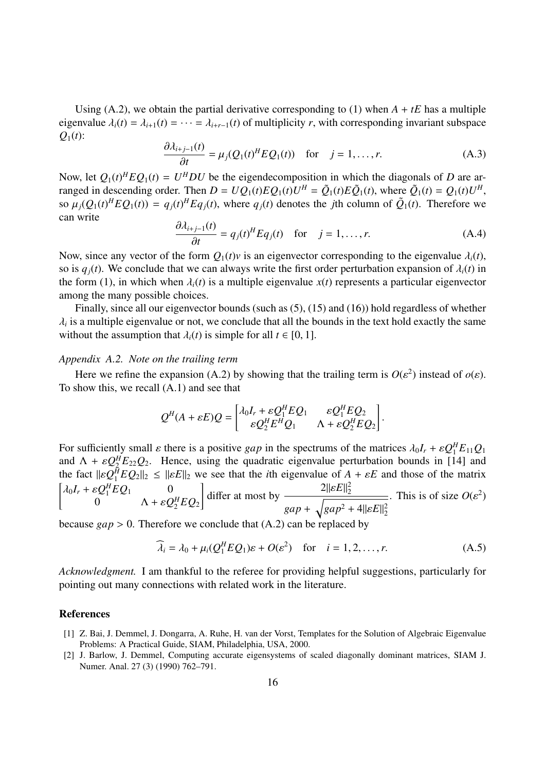Using (A.2), we obtain the partial derivative corresponding to (1) when  $A + tE$  has a multiple eigenvalue  $\lambda_i(t) = \lambda_{i+1}(t) = \cdots = \lambda_{i+r-1}(t)$  of multiplicity *r*, with corresponding invariant subspace  $Q_1(t)$ :

$$
\frac{\partial \lambda_{i+j-1}(t)}{\partial t} = \mu_j(Q_1(t)^H E Q_1(t)) \quad \text{for} \quad j = 1, \dots, r. \tag{A.3}
$$

Now, let  $Q_1(t)^H E Q_1(t) = U^H D U$  be the eigendecomposition in which the diagonals of *D* are arranged in descending order. Then  $D = UQ_1(t)EQ_1(t)U^H = \tilde{Q}_1(t)E\tilde{Q}_1(t)$ , where  $\tilde{Q}_1(t) = Q_1(t)U^H$ , so  $\mu_j(Q_1(t)^H E Q_1(t)) = q_j(t)^H E q_j(t)$ , where  $q_j(t)$  denotes the *j*th column of  $\tilde{Q}_1(t)$ . Therefore we can write

$$
\frac{\partial \lambda_{i+j-1}(t)}{\partial t} = q_j(t)^H E q_j(t) \quad \text{for} \quad j = 1, \dots, r. \tag{A.4}
$$

Now, since any vector of the form  $Q_1(t)v$  is an eigenvector corresponding to the eigenvalue  $\lambda_i(t)$ , so is  $q_i(t)$ . We conclude that we can always write the first order perturbation expansion of  $\lambda_i(t)$  in the form (1), in which when  $\lambda_i(t)$  is a multiple eigenvalue  $x(t)$  represents a particular eigenvector among the many possible choices.

Finally, since all our eigenvector bounds (such as (5), (15) and (16)) hold regardless of whether  $\lambda_i$  is a multiple eigenvalue or not, we conclude that all the bounds in the text hold exactly the same without the assumption that  $\lambda_i(t)$  is simple for all  $t \in [0, 1]$ .

#### *Appendix A.2. Note on the trailing term*

Here we refine the expansion (A.2) by showing that the trailing term is  $O(\varepsilon^2)$  instead of  $o(\varepsilon)$ . To show this, we recall (A.1) and see that

$$
Q^{H}(A + \varepsilon E)Q = \begin{bmatrix} \lambda_0 I_r + \varepsilon Q_1^H E Q_1 & \varepsilon Q_1^H E Q_2 \\ \varepsilon Q_2^H E^H Q_1 & \Lambda + \varepsilon Q_2^H E Q_2 \end{bmatrix}.
$$

For sufficiently small  $\varepsilon$  there is a positive *gap* in the spectrums of the matrices  $\lambda_0 I_r + \varepsilon Q_1^H$  ${}_{1}^{H}E_{11}Q_{1}$ and  $\Lambda + \varepsilon Q_2^H$  ${}_{2}^{H}E_{22}Q_2$ . Hence, using the quadratic eigenvalue perturbation bounds in [14] and the fact  $\| \varepsilon \mathcal{Q}_1^{\bar{H}}$ the fact  $||\varepsilon Q_1^H E Q_2||_2 \le ||\varepsilon E||_2$  we see that the *i*th eigenvalue of  $A + \varepsilon E$  and those of the matrix  $\lambda_0 I_r + \varepsilon Q_1^H$  ${}_{1}^{H}EQ$ <sub>1</sub> 0 0  $\Lambda + \varepsilon Q_2^H$  $E_2^H E Q_2$ י<br>י differ at most by  $2\|\varepsilon E\|_2^2$ 2 *gap* +  $\overline{\phantom{a}}$  $gap^2 + 4||\varepsilon E||_2^2$ 2 . This is of size  $O(\varepsilon^2)$ 

because  $gap > 0$ . Therefore we conclude that  $(A.2)$  can be replaced

$$
\widehat{\lambda}_i = \lambda_0 + \mu_i (Q_1^H E Q_1) \varepsilon + O(\varepsilon^2) \quad \text{for} \quad i = 1, 2, \dots, r. \tag{A.5}
$$

*Acknowledgment.* I am thankful to the referee for providing helpful suggestions, particularly for pointing out many connections with related work in the literature.

#### References

- [1] Z. Bai, J. Demmel, J. Dongarra, A. Ruhe, H. van der Vorst, Templates for the Solution of Algebraic Eigenvalue Problems: A Practical Guide, SIAM, Philadelphia, USA, 2000.
- [2] J. Barlow, J. Demmel, Computing accurate eigensystems of scaled diagonally dominant matrices, SIAM J. Numer. Anal. 27 (3) (1990) 762–791.